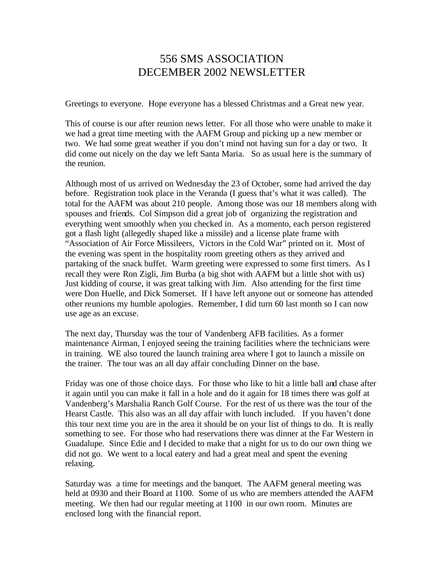## 556 SMS ASSOCIATION DECEMBER 2002 NEWSLETTER

Greetings to everyone. Hope everyone has a blessed Christmas and a Great new year.

This of course is our after reunion news letter. For all those who were unable to make it we had a great time meeting with the AAFM Group and picking up a new member or two. We had some great weather if you don't mind not having sun for a day or two. It did come out nicely on the day we left Santa Maria. So as usual here is the summary of the reunion.

Although most of us arrived on Wednesday the 23 of October, some had arrived the day before. Registration took place in the Veranda (I guess that's what it was called). The total for the AAFM was about 210 people. Among those was our 18 members along with spouses and friends. Col Simpson did a great job of organizing the registration and everything went smoothly when you checked in. As a momento, each person registered got a flash light (allegedly shaped like a missile) and a license plate frame with "Association of Air Force Missileers, Victors in the Cold War" printed on it. Most of the evening was spent in the hospitality room greeting others as they arrived and partaking of the snack buffet. Warm greeting were expressed to some first timers. As I recall they were Ron Zigli, Jim Burba (a big shot with AAFM but a little shot with us) Just kidding of course, it was great talking with Jim. Also attending for the first time were Don Huelle, and Dick Somerset. If I have left anyone out or someone has attended other reunions my humble apologies. Remember, I did turn 60 last month so I can now use age as an excuse.

The next day, Thursday was the tour of Vandenberg AFB facilities. As a former maintenance Airman, I enjoyed seeing the training facilities where the technicians were in training. WE also toured the launch training area where I got to launch a missile on the trainer. The tour was an all day affair concluding Dinner on the base.

Friday was one of those choice days. For those who like to hit a little ball and chase after it again until you can make it fall in a hole and do it again for 18 times there was golf at Vandenberg's Marshalia Ranch Golf Course. For the rest of us there was the tour of the Hearst Castle. This also was an all day affair with lunch included. If you haven't done this tour next time you are in the area it should be on your list of things to do. It is really something to see. For those who had reservations there was dinner at the Far Western in Guadalupe. Since Edie and I decided to make that a night for us to do our own thing we did not go. We went to a local eatery and had a great meal and spent the evening relaxing.

Saturday was a time for meetings and the banquet. The AAFM general meeting was held at 0930 and their Board at 1100. Some of us who are members attended the AAFM meeting. We then had our regular meeting at 1100 in our own room. Minutes are enclosed long with the financial report.